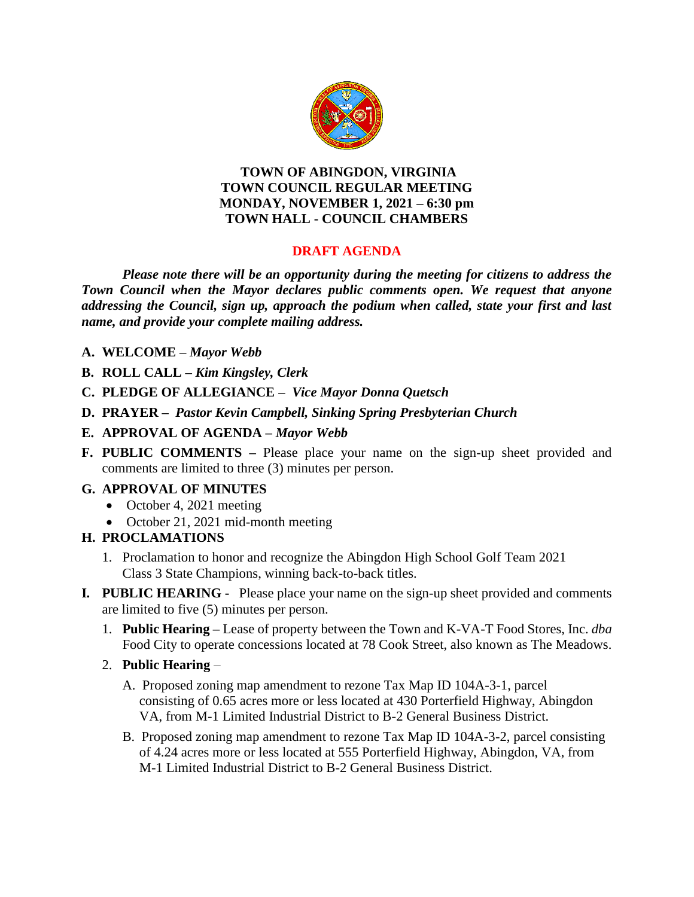

#### **TOWN OF ABINGDON, VIRGINIA TOWN COUNCIL REGULAR MEETING MONDAY, NOVEMBER 1, 2021 – 6:30 pm TOWN HALL - COUNCIL CHAMBERS**

## **DRAFT AGENDA**

*Please note there will be an opportunity during the meeting for citizens to address the Town Council when the Mayor declares public comments open. We request that anyone addressing the Council, sign up, approach the podium when called, state your first and last name, and provide your complete mailing address.*

- **A. WELCOME –** *Mayor Webb*
- **B. ROLL CALL –** *Kim Kingsley, Clerk*
- **C. PLEDGE OF ALLEGIANCE –** *Vice Mayor Donna Quetsch*
- **D. PRAYER –** *Pastor Kevin Campbell, Sinking Spring Presbyterian Church*
- **E. APPROVAL OF AGENDA –** *Mayor Webb*
- **F. PUBLIC COMMENTS –** Please place your name on the sign-up sheet provided and comments are limited to three (3) minutes per person.

## **G. APPROVAL OF MINUTES**

- October 4, 2021 meeting
- October 21, 2021 mid-month meeting

## **H. PROCLAMATIONS**

- 1. Proclamation to honor and recognize the Abingdon High School Golf Team 2021 Class 3 State Champions, winning back-to-back titles.
- **I***.* **PUBLIC HEARING** Please place your name on the sign-up sheet provided and comments are limited to five (5) minutes per person.
	- 1. **Public Hearing –** Lease of property between the Town and K-VA-T Food Stores, Inc. *dba*  Food City to operate concessions located at 78 Cook Street, also known as The Meadows.
	- 2. **Public Hearing** 
		- A. Proposed zoning map amendment to rezone Tax Map ID 104A-3-1, parcel consisting of 0.65 acres more or less located at 430 Porterfield Highway, Abingdon VA, from M-1 Limited Industrial District to B-2 General Business District.
		- B. Proposed zoning map amendment to rezone Tax Map ID 104A-3-2, parcel consisting of 4.24 acres more or less located at 555 Porterfield Highway, Abingdon, VA, from M-1 Limited Industrial District to B-2 General Business District.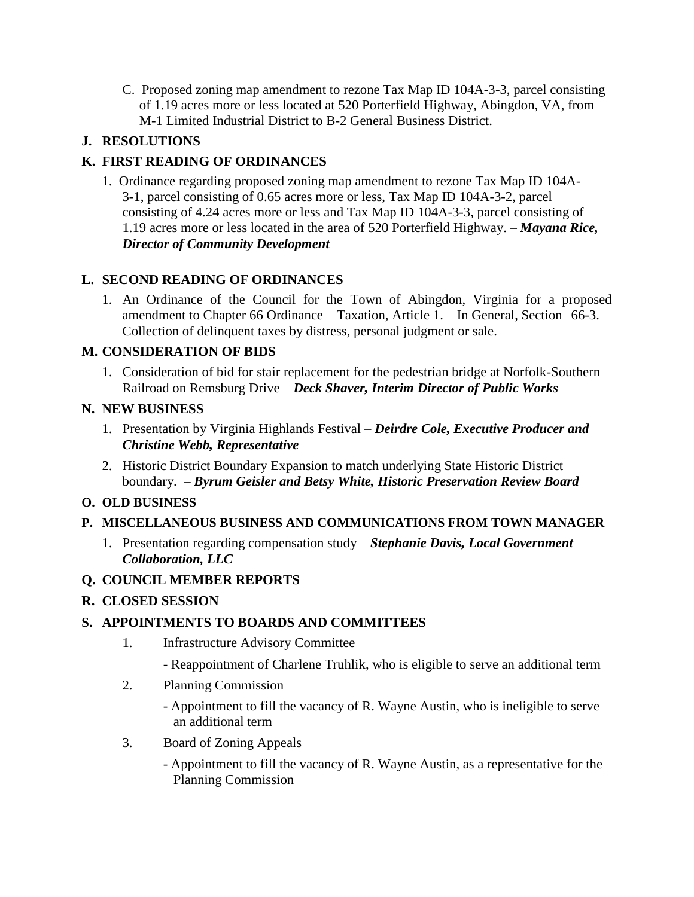C. Proposed zoning map amendment to rezone Tax Map ID 104A-3-3, parcel consisting of 1.19 acres more or less located at 520 Porterfield Highway, Abingdon, VA, from M-1 Limited Industrial District to B-2 General Business District.

# **J. RESOLUTIONS**

# **K. FIRST READING OF ORDINANCES**

1. Ordinance regarding proposed zoning map amendment to rezone Tax Map ID 104A-3-1, parcel consisting of 0.65 acres more or less, Tax Map ID 104A-3-2, parcel consisting of 4.24 acres more or less and Tax Map ID 104A-3-3, parcel consisting of 1.19 acres more or less located in the area of 520 Porterfield Highway. – *Mayana Rice, Director of Community Development*

## **L. SECOND READING OF ORDINANCES**

1. An Ordinance of the Council for the Town of Abingdon, Virginia for a proposed amendment to Chapter 66 Ordinance – Taxation, Article 1. – In General, Section 66-3. Collection of delinquent taxes by distress, personal judgment or sale.

## **M. CONSIDERATION OF BIDS**

1. Consideration of bid for stair replacement for the pedestrian bridge at Norfolk-Southern Railroad on Remsburg Drive – *Deck Shaver, Interim Director of Public Works*

### **N. NEW BUSINESS**

- 1. Presentation by Virginia Highlands Festival *Deirdre Cole, Executive Producer and Christine Webb, Representative*
- 2. Historic District Boundary Expansion to match underlying State Historic District boundary. – *Byrum Geisler and Betsy White, Historic Preservation Review Board*

## **O. OLD BUSINESS**

## **P. MISCELLANEOUS BUSINESS AND COMMUNICATIONS FROM TOWN MANAGER**

1. Presentation regarding compensation study – *Stephanie Davis, Local Government Collaboration, LLC*

## **Q. COUNCIL MEMBER REPORTS**

## **R. CLOSED SESSION**

## **S. APPOINTMENTS TO BOARDS AND COMMITTEES**

- 1. Infrastructure Advisory Committee
	- Reappointment of Charlene Truhlik, who is eligible to serve an additional term
- 2. Planning Commission
	- Appointment to fill the vacancy of R. Wayne Austin, who is ineligible to serve an additional term
- 3. Board of Zoning Appeals
	- Appointment to fill the vacancy of R. Wayne Austin, as a representative for the Planning Commission